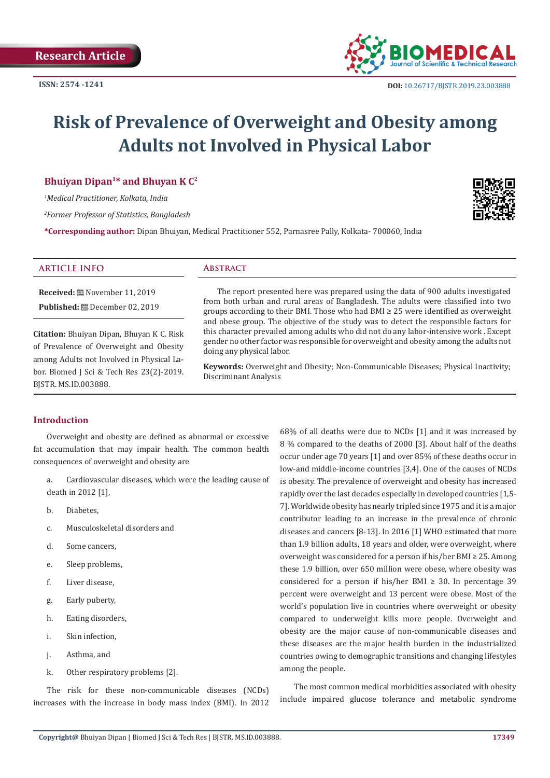

# **Risk of Prevalence of Overweight and Obesity among Adults not Involved in Physical Labor**

# **Bhuiyan Dipan1\* and Bhuyan K C2**

*1 Medical Practitioner, Kolkata, India*

*2 Former Professor of Statistics, Bangladesh*

**\*Corresponding author:** Dipan Bhuiyan, Medical Practitioner 552, Parnasree Pally, Kolkata- 700060, India

# **ARTICLE INFO Abstract**

**Received:** November 11, 2019 **Published:** December 02, 2019

**Citation:** Bhuiyan Dipan, Bhuyan K C. Risk of Prevalence of Overweight and Obesity among Adults not Involved in Physical Labor. Biomed J Sci & Tech Res 23(2)-2019. BJSTR. MS.ID.003888.

The report presented here was prepared using the data of 900 adults investigated from both urban and rural areas of Bangladesh. The adults were classified into two groups according to their BMI. Those who had BMI ≥ 25 were identified as overweight and obese group. The objective of the study was to detect the responsible factors for this character prevailed among adults who did not do any labor-intensive work . Except gender no other factor was responsible for overweight and obesity among the adults not doing any physical labor.

**Keywords:** Overweight and Obesity; Non-Communicable Diseases; Physical Inactivity; Discriminant Analysis

#### **Introduction**

Overweight and obesity are defined as abnormal or excessive fat accumulation that may impair health. The common health consequences of overweight and obesity are

- a. Cardiovascular diseases, which were the leading cause of death in 2012 [1],
- b. Diabetes,
- c. Musculoskeletal disorders and
- d. Some cancers,
- e. Sleep problems,
- f. Liver disease,
- g. Early puberty,
- h. Eating disorders,
- i. Skin infection,
- j. Asthma, and
- k. Other respiratory problems [2].

The risk for these non-communicable diseases (NCDs) increases with the increase in body mass index (BMI). In 2012 68% of all deaths were due to NCDs [1] and it was increased by 8 % compared to the deaths of 2000 [3]. About half of the deaths occur under age 70 years [1] and over 85% of these deaths occur in low-and middle-income countries [3,4]. One of the causes of NCDs is obesity. The prevalence of overweight and obesity has increased rapidly over the last decades especially in developed countries [1,5- 7]. Worldwide obesity has nearly tripled since 1975 and it is a major contributor leading to an increase in the prevalence of chronic diseases and cancers [8-13]. In 2016 [1] WHO estimated that more than 1.9 billion adults, 18 years and older, were overweight, where overweight was considered for a person if his/her BMI ≥ 25. Among these 1.9 billion, over 650 million were obese, where obesity was considered for a person if his/her BMI  $\geq$  30. In percentage 39 percent were overweight and 13 percent were obese. Most of the world's population live in countries where overweight or obesity compared to underweight kills more people. Overweight and obesity are the major cause of non-communicable diseases and these diseases are the major health burden in the industrialized countries owing to demographic transitions and changing lifestyles among the people.

The most common medical morbidities associated with obesity include impaired glucose tolerance and metabolic syndrome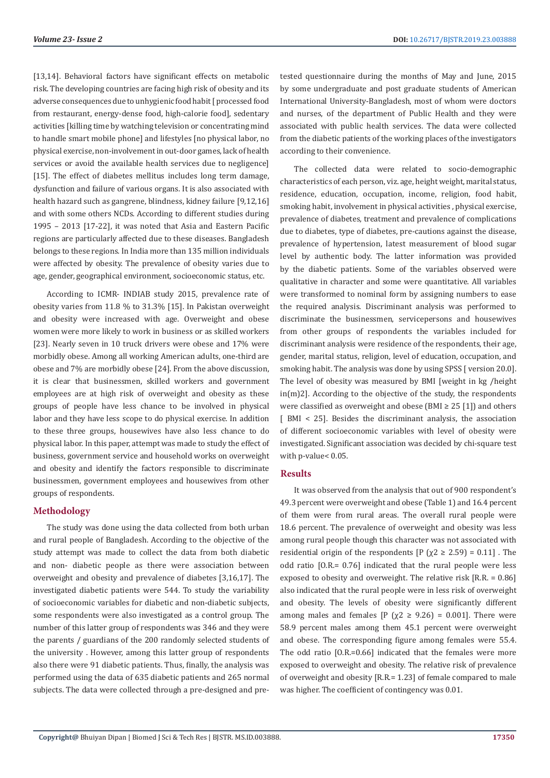[13,14]. Behavioral factors have significant effects on metabolic risk. The developing countries are facing high risk of obesity and its adverse consequences due to unhygienic food habit [ processed food from restaurant, energy-dense food, high-calorie food], sedentary activities [killing time by watching television or concentrating mind to handle smart mobile phone] and lifestyles [no physical labor, no physical exercise, non-involvement in out-door games, lack of health services or avoid the available health services due to negligence] [15]. The effect of diabetes mellitus includes long term damage, dysfunction and failure of various organs. It is also associated with health hazard such as gangrene, blindness, kidney failure [9,12,16] and with some others NCDs. According to different studies during 1995 – 2013 [17-22], it was noted that Asia and Eastern Pacific regions are particularly affected due to these diseases. Bangladesh belongs to these regions. In India more than 135 million individuals were affected by obesity. The prevalence of obesity varies due to age, gender, geographical environment, socioeconomic status, etc.

According to ICMR- INDIAB study 2015, prevalence rate of obesity varies from 11.8 % to 31.3% [15]. In Pakistan overweight and obesity were increased with age. Overweight and obese women were more likely to work in business or as skilled workers [23]. Nearly seven in 10 truck drivers were obese and 17% were morbidly obese. Among all working American adults, one-third are obese and 7% are morbidly obese [24]. From the above discussion, it is clear that businessmen, skilled workers and government employees are at high risk of overweight and obesity as these groups of people have less chance to be involved in physical labor and they have less scope to do physical exercise. In addition to these three groups, housewives have also less chance to do physical labor. In this paper, attempt was made to study the effect of business, government service and household works on overweight and obesity and identify the factors responsible to discriminate businessmen, government employees and housewives from other groups of respondents.

# **Methodology**

The study was done using the data collected from both urban and rural people of Bangladesh. According to the objective of the study attempt was made to collect the data from both diabetic and non- diabetic people as there were association between overweight and obesity and prevalence of diabetes [3,16,17]. The investigated diabetic patients were 544. To study the variability of socioeconomic variables for diabetic and non-diabetic subjects, some respondents were also investigated as a control group. The number of this latter group of respondents was 346 and they were the parents / guardians of the 200 randomly selected students of the university . However, among this latter group of respondents also there were 91 diabetic patients. Thus, finally, the analysis was performed using the data of 635 diabetic patients and 265 normal subjects. The data were collected through a pre-designed and pretested questionnaire during the months of May and June, 2015 by some undergraduate and post graduate students of American International University-Bangladesh, most of whom were doctors and nurses, of the department of Public Health and they were associated with public health services. The data were collected from the diabetic patients of the working places of the investigators according to their convenience.

The collected data were related to socio-demographic characteristics of each person, viz. age, height weight, marital status, residence, education, occupation, income, religion, food habit, smoking habit, involvement in physical activities , physical exercise, prevalence of diabetes, treatment and prevalence of complications due to diabetes, type of diabetes, pre-cautions against the disease, prevalence of hypertension, latest measurement of blood sugar level by authentic body. The latter information was provided by the diabetic patients. Some of the variables observed were qualitative in character and some were quantitative. All variables were transformed to nominal form by assigning numbers to ease the required analysis. Discriminant analysis was performed to discriminate the businessmen, servicepersons and housewives from other groups of respondents the variables included for discriminant analysis were residence of the respondents, their age, gender, marital status, religion, level of education, occupation, and smoking habit. The analysis was done by using SPSS [ version 20.0]. The level of obesity was measured by BMI [weight in kg /height in(m)2]. According to the objective of the study, the respondents were classified as overweight and obese (BMI  $\geq$  25 [1]) and others [ BMI < 25]. Besides the discriminant analysis, the association of different socioeconomic variables with level of obesity were investigated. Significant association was decided by chi-square test with p-value< 0.05.

# **Results**

It was observed from the analysis that out of 900 respondent's 49.3 percent were overweight and obese (Table 1) and 16.4 percent of them were from rural areas. The overall rural people were 18.6 percent. The prevalence of overweight and obesity was less among rural people though this character was not associated with residential origin of the respondents  $[P (x2 \ge 2.59) = 0.11]$ . The odd ratio [O.R.= 0.76] indicated that the rural people were less exposed to obesity and overweight. The relative risk [R.R. = 0.86] also indicated that the rural people were in less risk of overweight and obesity. The levels of obesity were significantly different among males and females [P ( $\chi$ 2  $\ge$  9.26) = 0.001]. There were 58.9 percent males among them 45.1 percent were overweight and obese. The corresponding figure among females were 55.4. The odd ratio [O.R.=0.66] indicated that the females were more exposed to overweight and obesity. The relative risk of prevalence of overweight and obesity [R.R.= 1.23] of female compared to male was higher. The coefficient of contingency was 0.01.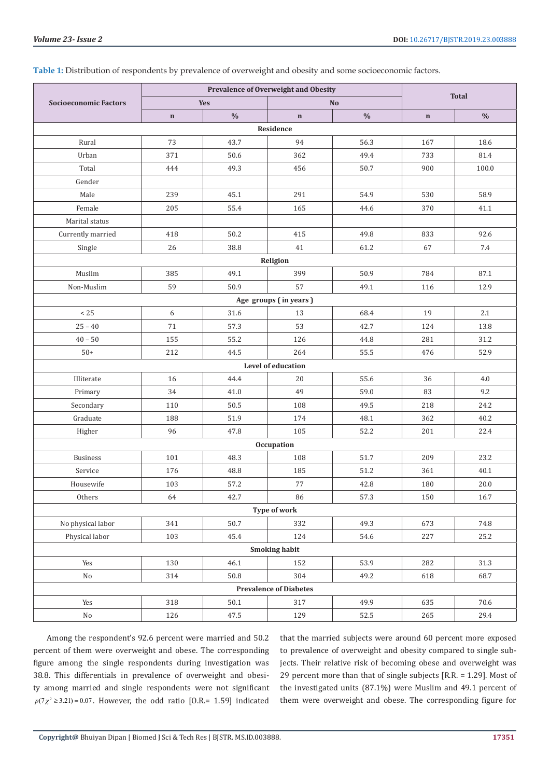|                               |             | Prevalence of Overweight and Obesity |                       |               |              |               |  |  |
|-------------------------------|-------------|--------------------------------------|-----------------------|---------------|--------------|---------------|--|--|
| <b>Socioeconomic Factors</b>  | <b>Yes</b>  |                                      | N <sub>o</sub>        |               | <b>Total</b> |               |  |  |
|                               | $\mathbf n$ | $\frac{0}{0}$                        | $\mathbf n$           | $\frac{0}{0}$ | $\mathbf n$  | $\frac{0}{0}$ |  |  |
| Residence                     |             |                                      |                       |               |              |               |  |  |
| Rural                         | 73          | 43.7                                 | 94                    | 56.3          | 167          | 18.6          |  |  |
| Urban                         | 371         | 50.6                                 | 362                   | 49.4          | 733          | 81.4          |  |  |
| Total                         | 444         | 49.3                                 | 456                   | 50.7          | 900          | 100.0         |  |  |
| Gender                        |             |                                      |                       |               |              |               |  |  |
| Male                          | 239         | 45.1                                 | 291                   | 54.9          | 530          | 58.9          |  |  |
| Female                        | 205         | 55.4                                 | 165                   | 44.6          | 370          | 41.1          |  |  |
| Marital status                |             |                                      |                       |               |              |               |  |  |
| Currently married             | 418         | 50.2                                 | 415                   | 49.8          | 833          | 92.6          |  |  |
| Single                        | 26          | 38.8                                 | 41                    | 61.2          | 67           | 7.4           |  |  |
| Religion                      |             |                                      |                       |               |              |               |  |  |
| Muslim                        | 385         | 49.1                                 | 399                   | 50.9          | 784          | 87.1          |  |  |
| Non-Muslim                    | 59          | 50.9                                 | 57                    | 49.1          | 116          | 12.9          |  |  |
|                               |             |                                      | Age groups (in years) |               |              |               |  |  |
| < 25                          | 6           | 31.6                                 | 13                    | 68.4          | 19           | 2.1           |  |  |
| $25 - 40$                     | 71          | 57.3                                 | 53                    | 42.7          | 124          | 13.8          |  |  |
| $40 - 50$                     | 155         | 55.2                                 | 126                   | 44.8          | 281          | 31.2          |  |  |
| $50+$                         | 212         | 44.5                                 | 264                   | 55.5          | 476          | 52.9          |  |  |
|                               |             |                                      | Level of education    |               |              |               |  |  |
| Illiterate                    | 16          | 44.4                                 | 20                    | 55.6          | 36           | 4.0           |  |  |
| Primary                       | 34          | 41.0                                 | 49                    | 59.0          | 83           | 9.2           |  |  |
| Secondary                     | 110         | 50.5                                 | 108                   | 49.5          | 218          | 24.2          |  |  |
| Graduate                      | 188         | 51.9                                 | 174                   | 48.1          | 362          | 40.2          |  |  |
| Higher                        | 96          | 47.8                                 | 105                   | 52.2          | 201          | 22.4          |  |  |
| Occupation                    |             |                                      |                       |               |              |               |  |  |
| <b>Business</b>               | 101         | 48.3                                 | 108                   | 51.7          | 209          | 23.2          |  |  |
| Service                       | 176         | 48.8                                 | 185                   | 51.2          | 361          | 40.1          |  |  |
| Housewife                     | 103         | 57.2                                 | 77                    | 42.8          | 180          | 20.0          |  |  |
| Others                        | 64          | 42.7                                 | 86                    | 57.3          | 150          | 16.7          |  |  |
| Type of work                  |             |                                      |                       |               |              |               |  |  |
| No physical labor             | 341         | 50.7                                 | 332                   | 49.3          | 673          | 74.8          |  |  |
| Physical labor                | 103         | 45.4                                 | 124                   | 54.6          | 227          | 25.2          |  |  |
| <b>Smoking habit</b>          |             |                                      |                       |               |              |               |  |  |
| Yes                           | 130         | 46.1                                 | 152                   | 53.9          | 282          | 31.3          |  |  |
| $\rm No$                      | 314         | 50.8                                 | 304                   | 49.2          | 618          | 68.7          |  |  |
| <b>Prevalence of Diabetes</b> |             |                                      |                       |               |              |               |  |  |
| Yes                           | 318         | 50.1                                 | 317                   | 49.9          | 635          | 70.6          |  |  |
| $\rm No$                      | 126         | 47.5                                 | 129                   | 52.5          | 265          | 29.4          |  |  |

# **Table 1:** Distribution of respondents by prevalence of overweight and obesity and some socioeconomic factors.

Among the respondent's 92.6 percent were married and 50.2 percent of them were overweight and obese. The corresponding figure among the single respondents during investigation was 38.8. This differentials in prevalence of overweight and obesity among married and single respondents were not significant  $p(7\chi^2 \ge 3.21) = 0.07$ . However, the odd ratio [O.R.= 1.59] indicated

that the married subjects were around 60 percent more exposed to prevalence of overweight and obesity compared to single subjects. Their relative risk of becoming obese and overweight was 29 percent more than that of single subjects [R.R. = 1.29]. Most of the investigated units (87.1%) were Muslim and 49.1 percent of them were overweight and obese. The corresponding figure for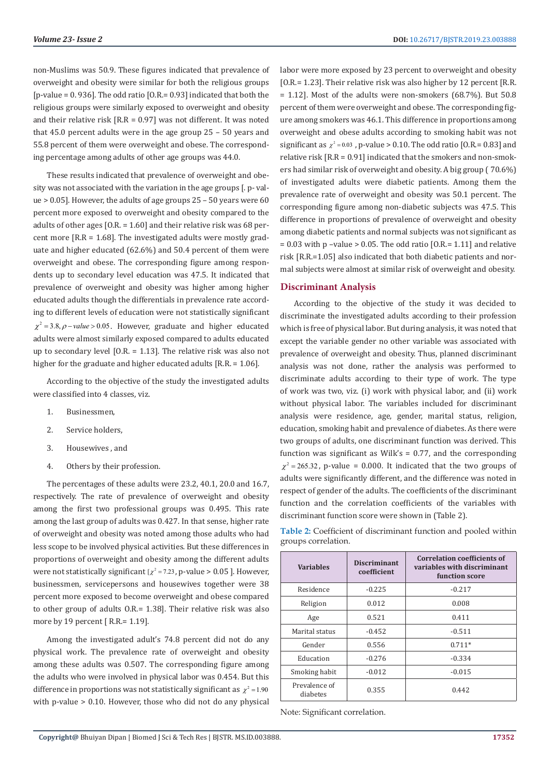non-Muslims was 50.9. These figures indicated that prevalence of overweight and obesity were similar for both the religious groups [p-value = 0. 936]. The odd ratio [O.R.= 0.93] indicated that both the religious groups were similarly exposed to overweight and obesity and their relative risk [R.R = 0.97] was not different. It was noted that 45.0 percent adults were in the age group 25 – 50 years and 55.8 percent of them were overweight and obese. The corresponding percentage among adults of other age groups was 44.0.

These results indicated that prevalence of overweight and obesity was not associated with the variation in the age groups [. p- value > 0.05]. However, the adults of age groups 25 – 50 years were 60 percent more exposed to overweight and obesity compared to the adults of other ages [O.R. = 1.60] and their relative risk was 68 percent more [R.R = 1.68]. The investigated adults were mostly graduate and higher educated (62.6%) and 50.4 percent of them were overweight and obese. The corresponding figure among respondents up to secondary level education was 47.5. It indicated that prevalence of overweight and obesity was higher among higher educated adults though the differentials in prevalence rate according to different levels of education were not statistically significant  $\chi^2$  = 3.8,  $\rho$  –*value* > 0.05. However, graduate and higher educated adults were almost similarly exposed compared to adults educated up to secondary level [O.R. = 1.13]. The relative risk was also not higher for the graduate and higher educated adults [R.R. = 1.06].

According to the objective of the study the investigated adults were classified into 4 classes, viz.

- 1. Businessmen,
- 2. Service holders,
- 3. Housewives , and
- 4. Others by their profession.

The percentages of these adults were 23.2, 40.1, 20.0 and 16.7, respectively. The rate of prevalence of overweight and obesity among the first two professional groups was 0.495. This rate among the last group of adults was 0.427. In that sense, higher rate of overweight and obesity was noted among those adults who had less scope to be involved physical activities. But these differences in proportions of overweight and obesity among the different adults were not statistically significant  $\left[ \chi^2 = 7.23 \right]$ , p-value > 0.05 ]. However, businessmen, servicepersons and housewives together were 38 percent more exposed to become overweight and obese compared to other group of adults O.R.= 1.38]. Their relative risk was also more by 19 percent [R.R.= 1.19].

Among the investigated adult's 74.8 percent did not do any physical work. The prevalence rate of overweight and obesity among these adults was 0.507. The corresponding figure among the adults who were involved in physical labor was 0.454. But this difference in proportions was not statistically significant as  $\chi^2$  = 1.90 with p-value > 0.10. However, those who did not do any physical

labor were more exposed by 23 percent to overweight and obesity [O.R.= 1.23]. Their relative risk was also higher by 12 percent [R.R. = 1.12]. Most of the adults were non-smokers (68.7%). But 50.8 percent of them were overweight and obese. The corresponding figure among smokers was 46.1. This difference in proportions among overweight and obese adults according to smoking habit was not significant as  $\chi^2$  = 0.03, p-value > 0.10. The odd ratio [O.R.= 0.83] and relative risk [R.R = 0.91] indicated that the smokers and non-smokers had similar risk of overweight and obesity. A big group ( 70.6%) of investigated adults were diabetic patients. Among them the prevalence rate of overweight and obesity was 50.1 percent. The corresponding figure among non-diabetic subjects was 47.5. This difference in proportions of prevalence of overweight and obesity among diabetic patients and normal subjects was not significant as  $= 0.03$  with p -value > 0.05. The odd ratio [O.R.= 1.11] and relative risk [R.R.=1.05] also indicated that both diabetic patients and normal subjects were almost at similar risk of overweight and obesity.

#### **Discriminant Analysis**

According to the objective of the study it was decided to discriminate the investigated adults according to their profession which is free of physical labor. But during analysis, it was noted that except the variable gender no other variable was associated with prevalence of overweight and obesity. Thus, planned discriminant analysis was not done, rather the analysis was performed to discriminate adults according to their type of work. The type of work was two, viz. (i) work with physical labor, and (ii) work without physical labor. The variables included for discriminant analysis were residence, age, gender, marital status, religion, education, smoking habit and prevalence of diabetes. As there were two groups of adults, one discriminant function was derived. This function was significant as Wilk's  $= 0.77$ , and the corresponding  $\chi^2$  = 265.32, p-value = 0.000. It indicated that the two groups of adults were significantly different, and the difference was noted in respect of gender of the adults. The coefficients of the discriminant function and the correlation coefficients of the variables with discriminant function score were shown in (Table 2).

| Table 2: Coefficient of discriminant function and pooled within |  |  |
|-----------------------------------------------------------------|--|--|
| groups correlation.                                             |  |  |

| <b>Variables</b>          | <b>Discriminant</b><br>coefficient | <b>Correlation coefficients of</b><br>variables with discriminant<br>function score |  |  |
|---------------------------|------------------------------------|-------------------------------------------------------------------------------------|--|--|
| Residence                 | $-0.225$                           | $-0.217$                                                                            |  |  |
| Religion                  | 0.012                              | 0.008                                                                               |  |  |
| Age                       | 0.521                              | 0.411                                                                               |  |  |
| Marital status            | $-0.452$                           | $-0.511$                                                                            |  |  |
| Gender                    | 0.556                              | $0.711*$                                                                            |  |  |
| Education                 | $-0.276$                           | $-0.334$                                                                            |  |  |
| Smoking habit             | $-0.012$                           | $-0.015$                                                                            |  |  |
| Prevalence of<br>diabetes | 0.355                              | 0.442                                                                               |  |  |

Note: Significant correlation.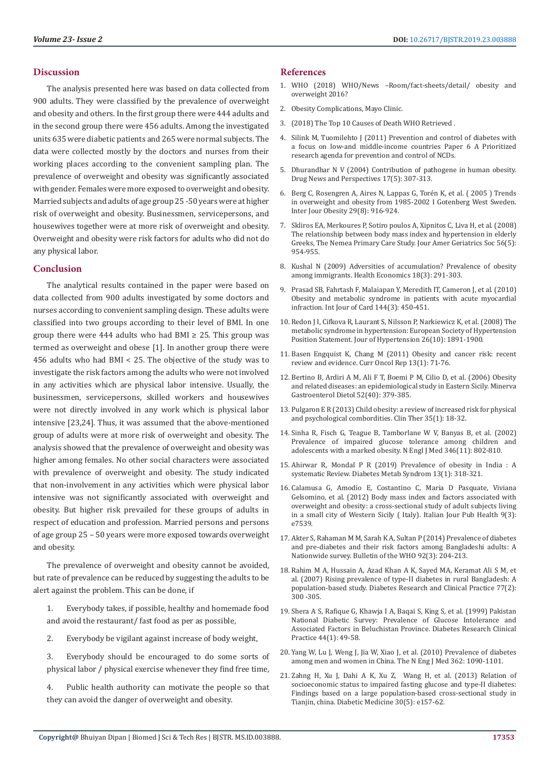### **Discussion**

The analysis presented here was based on data collected from 900 adults. They were classified by the prevalence of overweight and obesity and others. In the first group there were 444 adults and in the second group there were 456 adults. Among the investigated units 635 were diabetic patients and 265 were normal subjects. The data were collected mostly by the doctors and nurses from their working places according to the convenient sampling plan. The prevalence of overweight and obesity was significantly associated with gender. Females were more exposed to overweight and obesity. Married subjects and adults of age group 25 -50 years were at higher risk of overweight and obesity. Businessmen, servicepersons, and housewives together were at more risk of overweight and obesity. Overweight and obesity were risk factors for adults who did not do any physical labor.

### **Conclusion**

The analytical results contained in the paper were based on data collected from 900 adults investigated by some doctors and nurses according to convenient sampling design. These adults were classified into two groups according to their level of BMI. In one group there were 444 adults who had BMI  $\geq$  25. This group was termed as overweight and obese [1]. In another group there were 456 adults who had BMI < 25. The objective of the study was to investigate the risk factors among the adults who were not involved in any activities which are physical labor intensive. Usually, the businessmen, servicepersons, skilled workers and housewives were not directly involved in any work which is physical labor intensive [23,24]. Thus, it was assumed that the above-mentioned group of adults were at more risk of overweight and obesity. The analysis showed that the prevalence of overweight and obesity was higher among females. No other social characters were associated with prevalence of overweight and obesity. The study indicated that non-involvement in any activities which were physical labor intensive was not significantly associated with overweight and obesity. But higher risk prevailed for these groups of adults in respect of education and profession. Married persons and persons of age group 25 – 50 years were more exposed towards overweight and obesity.

The prevalence of overweight and obesity cannot be avoided, but rate of prevalence can be reduced by suggesting the adults to be alert against the problem. This can be done, if

- 1. Everybody takes, if possible, healthy and homemade food and avoid the restaurant/ fast food as per as possible,
- 2. Everybody be vigilant against increase of body weight,
- 3. Everybody should be encouraged to do some sorts of physical labor / physical exercise whenever they find free time,
- 4. Public health authority can motivate the people so that they can avoid the danger of overweight and obesity.

#### **References**

- 1. WHO (2018) WHO/News –Room/fact-sheets/detail/ obesity and overweight 2016?
- 2. Obesity Complications, Mayo Clinic.
- 3. (2018) The Top 10 Causes of Death WHO Retrieved .
- 4. Silink M, Tuomilehto J (2011) Prevention and control of diabetes with a focus on low-and middle-income countries Paper 6 A Prioritized research agenda for prevention and control of NCDs.
- 5. [Dhurandhar N V \(2004\) Contribution of pathogene in human obesity.](https://www.ncbi.nlm.nih.gov/pubmed/15334180/) [Drug News and Perspectives 17\(5\): 307-313.](https://www.ncbi.nlm.nih.gov/pubmed/15334180/)
- 6. [Berg C, Rosengren A, Aires N, Lappas G, Torén K, et al. \( 2005 \) Trends](https://www.ncbi.nlm.nih.gov/pubmed/15852045) [in overweight and obesity from 1985-2002 I Gotenberg West Sweden.](https://www.ncbi.nlm.nih.gov/pubmed/15852045) [Inter Jour Obesity 29\(8\): 916-924.](https://www.ncbi.nlm.nih.gov/pubmed/15852045)
- 7. [Skliros EA, Merkoures P, Sotiro poulos A, Xipnitos C, Liva H, et al. \(2008\)](https://www.ncbi.nlm.nih.gov/pubmed/18454761) [The relationship between body mass index and hypertension in elderly](https://www.ncbi.nlm.nih.gov/pubmed/18454761) [Greeks, The Nemea Primary Care Study. Jour Amer Geriatrics Soc 56\(5\):](https://www.ncbi.nlm.nih.gov/pubmed/18454761) [954-955.](https://www.ncbi.nlm.nih.gov/pubmed/18454761)
- 8. [Kushal N \(2009\) Adversities of accumulation? Prevalence of obesity](https://onlinelibrary.wiley.com/doi/abs/10.1002/hec.1368) [among immigrants. Health Economics 18\(3\): 291-303.](https://onlinelibrary.wiley.com/doi/abs/10.1002/hec.1368)
- 9. [Prasad SB, Fahrtash F, Malaiapan Y, Meredith IT, Cameron J, et al. \(2010\)](https://www.ncbi.nlm.nih.gov/pubmed/19356813) [Obesity and metabolic syndrome in patients with acute myocardial](https://www.ncbi.nlm.nih.gov/pubmed/19356813) [infraction. Int Jour of Card 144\(3\): 450-451.](https://www.ncbi.nlm.nih.gov/pubmed/19356813)
- 10. [Redon J I, Cifkova R, Laurant S, Nilsson P, Narkiewicz K, et al. \(2008\) The](https://www.ncbi.nlm.nih.gov/pubmed/18806611) [metabolic syndrome in hypertension: European Society of Hypertension](https://www.ncbi.nlm.nih.gov/pubmed/18806611) [Position Statement. Jour of Hypertension 26\(10\): 1891-1900.](https://www.ncbi.nlm.nih.gov/pubmed/18806611)
- 11. [Basen Engquist K, Chang M \(2011\) Obesity and cancer risk: recent](https://www.ncbi.nlm.nih.gov/pubmed/21080117) [review and evidence. Curr Oncol Rep 13\(1\): 71-76.](https://www.ncbi.nlm.nih.gov/pubmed/21080117)
- 12. [Bertino B, Ardiri A M, Ali F T, Boemi P M, Cilio D, et al. \(2006\) Obesity](https://www.ncbi.nlm.nih.gov/pubmed/17108868) [and related diseases: an epidemiological study in Eastern Sicily. Minerva](https://www.ncbi.nlm.nih.gov/pubmed/17108868) [Gastroenterol Dietol 52\(40\): 379-385.](https://www.ncbi.nlm.nih.gov/pubmed/17108868)
- 13. [Pulgaron E R \(2013\) Child obesity: a review of increased risk for physical](https://www.ncbi.nlm.nih.gov/pubmed/23328273) [and psychological combordities. Clin Ther 35\(1\): 18-32.](https://www.ncbi.nlm.nih.gov/pubmed/23328273)
- 14. [Sinha R, Fisch G, Teague B, Tamborlane W V, Banyas B, et al. \(2002\)](https://www.ncbi.nlm.nih.gov/pubmed/11893791) [Prevalence of impaired glucose tolerance among children and](https://www.ncbi.nlm.nih.gov/pubmed/11893791) [adolescents with a marked obesity. N Engl J Med 346\(11\): 802-810.](https://www.ncbi.nlm.nih.gov/pubmed/11893791)
- 15. [Ahirwar R, Mondal P R \(2019\) Prevalence of obesity in India : A](https://www.ncbi.nlm.nih.gov/pubmed/30641719) [systematic Review. Diabetes Metab Syndrom 13\(1\): 318-321.](https://www.ncbi.nlm.nih.gov/pubmed/30641719)
- 16. [Calamusa G, Amodio E, Costantino C, Maria D Pasquate, Viviana](https://ijphjournal.it/article/view/7539) [Gelsomino, et al. \(2012\) Body mass index and factors associated with](https://ijphjournal.it/article/view/7539) [overweight and obesity: a cross-sectional study of adult subjects living](https://ijphjournal.it/article/view/7539) [in a small city of Western Sicily \( Italy\). Italian Jour Pub Health 9\(3\):](https://ijphjournal.it/article/view/7539) [e7539.](https://ijphjournal.it/article/view/7539)
- 17. [Akter S, Rahaman M M, Sarah K A, Sultan P \(2014\) Prevalence of diabetes](https://www.ncbi.nlm.nih.gov/pmc/articles/PMC3949596/) [and pre-diabetes and their risk factors among Bangladeshi adults: A](https://www.ncbi.nlm.nih.gov/pmc/articles/PMC3949596/) [Nationwide survey. Bulletin of the WHO 92\(3\): 204-213.](https://www.ncbi.nlm.nih.gov/pmc/articles/PMC3949596/)
- 18. [Rahim M A, Hussain A, Azad Khan A K, Sayed MA, Keramat Ali S M, et](https://www.ncbi.nlm.nih.gov/pubmed/17187890) [al. \(2007\) Rising prevalence of type-II diabetes in rural Bangladesh: A](https://www.ncbi.nlm.nih.gov/pubmed/17187890) [population-based study. Diabetes Research and Clinical Practice 77\(2\):](https://www.ncbi.nlm.nih.gov/pubmed/17187890) [300 -305.](https://www.ncbi.nlm.nih.gov/pubmed/17187890)
- 19. [Shera A S, Rafique G, Khawja I A, Baqai S, King S, et al. \(1999\) Pakistan](https://www.ncbi.nlm.nih.gov/pubmed/10414940) [National Diabetic Survey: Prevalence of Glucose Intolerance and](https://www.ncbi.nlm.nih.gov/pubmed/10414940) [Associated Factors in Beluchistan Province. Diabetes Research Clinical](https://www.ncbi.nlm.nih.gov/pubmed/10414940) [Practice 44\(1\): 49-58.](https://www.ncbi.nlm.nih.gov/pubmed/10414940)
- 20. [Yang W, Lu J, Weng J, Jia W, Xiao J, et al. \(2010\) Prevalence of diabetes](https://www.ncbi.nlm.nih.gov/pubmed/20335585) [among men and women in China. The N Eng J Med 362: 1090-1101.](https://www.ncbi.nlm.nih.gov/pubmed/20335585)
- 21. [Zahng H, Xu J, Dahi A K, Xu Z, Wang H, et al. \(2013\) Relation of](https://www.ncbi.nlm.nih.gov/pubmed/23397898) [socioeconomic status to impaired fasting glucose and type-II diabetes:](https://www.ncbi.nlm.nih.gov/pubmed/23397898) [Findings based on a large population-based cross-sectional study in](https://www.ncbi.nlm.nih.gov/pubmed/23397898) [Tianjin, china. Diabetic Medicine 30\(5\): e157-62.](https://www.ncbi.nlm.nih.gov/pubmed/23397898)